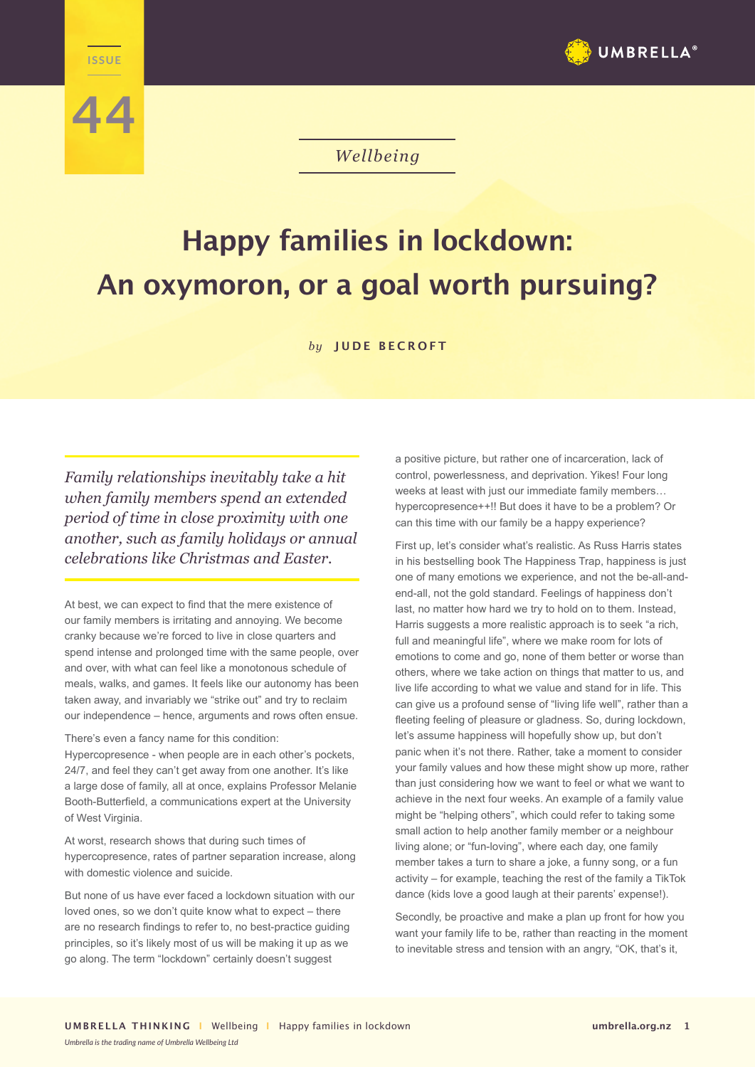

## *Wellbeing*

## **Happy families in lockdown: An oxymoron, or a goal worth pursuing?**

*by* **JUDE BECROFT**

*Family relationships inevitably take a hit when family members spend an extended period of time in close proximity with one another, such as family holidays or annual celebrations like Christmas and Easter.*

**WELLENGE** 

**44**

At best, we can expect to find that the mere existence of our family members is irritating and annoying. We become cranky because we're forced to live in close quarters and spend intense and prolonged time with the same people, over and over, with what can feel like a monotonous schedule of meals, walks, and games. It feels like our autonomy has been taken away, and invariably we "strike out" and try to reclaim our independence – hence, arguments and rows often ensue.

There's even a fancy name for this condition:

Hypercopresence - when people are in each other's pockets, 24/7, and feel they can't get away from one another. It's like a large dose of family, all at once, explains Professor Melanie Booth-Butterfield, a communications expert at the University of West Virginia.

At worst, research shows that during such times of hypercopresence, rates of partner separation increase, along with domestic violence and suicide.

But none of us have ever faced a lockdown situation with our loved ones, so we don't quite know what to expect – there are no research findings to refer to, no best-practice guiding principles, so it's likely most of us will be making it up as we go along. The term "lockdown" certainly doesn't suggest

a positive picture, but rather one of incarceration, lack of control, powerlessness, and deprivation. Yikes! Four long weeks at least with just our immediate family members… hypercopresence++!! But does it have to be a problem? Or can this time with our family be a happy experience?

First up, let's consider what's realistic. As Russ Harris states in his bestselling book The Happiness Trap, happiness is just one of many emotions we experience, and not the be-all-andend-all, not the gold standard. Feelings of happiness don't last, no matter how hard we try to hold on to them. Instead, Harris suggests a more realistic approach is to seek "a rich, full and meaningful life", where we make room for lots of emotions to come and go, none of them better or worse than others, where we take action on things that matter to us, and live life according to what we value and stand for in life. This can give us a profound sense of "living life well", rather than a fleeting feeling of pleasure or gladness. So, during lockdown, let's assume happiness will hopefully show up, but don't panic when it's not there. Rather, take a moment to consider your family values and how these might show up more, rather than just considering how we want to feel or what we want to achieve in the next four weeks. An example of a family value might be "helping others", which could refer to taking some small action to help another family member or a neighbour living alone; or "fun-loving", where each day, one family member takes a turn to share a joke, a funny song, or a fun activity – for example, teaching the rest of the family a TikTok dance (kids love a good laugh at their parents' expense!).

Secondly, be proactive and make a plan up front for how you want your family life to be, rather than reacting in the moment to inevitable stress and tension with an angry, "OK, that's it,